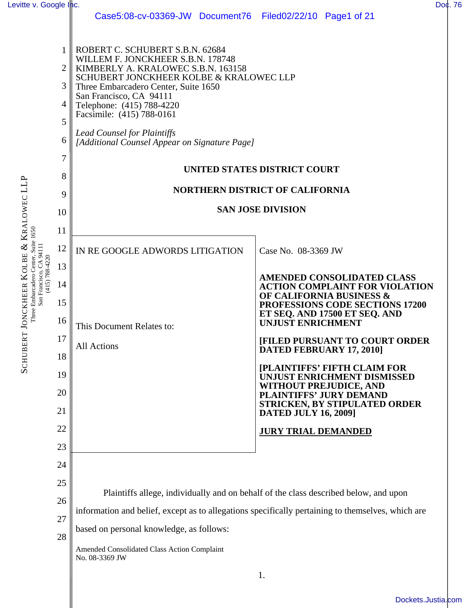| Levitte v. Google Inc.                                 |    |                                                                                                   | Doc. 76                                                                    |  |  |  |  |
|--------------------------------------------------------|----|---------------------------------------------------------------------------------------------------|----------------------------------------------------------------------------|--|--|--|--|
|                                                        |    | Case5:08-cv-03369-JW Document76 Filed02/22/10 Page1 of 21                                         |                                                                            |  |  |  |  |
|                                                        |    |                                                                                                   |                                                                            |  |  |  |  |
| & KRALOWEC LLP<br>Three Embarcadero Center, Suite 1650 | 1  | ROBERT C. SCHUBERT S.B.N. 62684                                                                   |                                                                            |  |  |  |  |
|                                                        | 2  | WILLEM F. JONCKHEER S.B.N. 178748<br>KIMBERLY A. KRALOWEC S.B.N. 163158                           |                                                                            |  |  |  |  |
|                                                        | 3  | SCHUBERT JONCKHEER KOLBE & KRALOWEC LLP<br>Three Embarcadero Center, Suite 1650                   |                                                                            |  |  |  |  |
|                                                        |    | San Francisco, CA 94111                                                                           |                                                                            |  |  |  |  |
|                                                        | 4  | Telephone: (415) 788-4220<br>Facsimile: (415) 788-0161                                            |                                                                            |  |  |  |  |
|                                                        | 5  | <b>Lead Counsel for Plaintiffs</b>                                                                |                                                                            |  |  |  |  |
|                                                        | 6  | [Additional Counsel Appear on Signature Page]                                                     |                                                                            |  |  |  |  |
|                                                        | 7  | UNITED STATES DISTRICT COURT                                                                      |                                                                            |  |  |  |  |
|                                                        | 8  |                                                                                                   |                                                                            |  |  |  |  |
|                                                        | 9  | <b>NORTHERN DISTRICT OF CALIFORNIA</b>                                                            |                                                                            |  |  |  |  |
|                                                        | 10 |                                                                                                   | <b>SAN JOSE DIVISION</b>                                                   |  |  |  |  |
|                                                        | 11 |                                                                                                   |                                                                            |  |  |  |  |
|                                                        | 12 | IN RE GOOGLE ADWORDS LITIGATION                                                                   | Case No. 08-3369 JW                                                        |  |  |  |  |
| OLBE                                                   | 13 |                                                                                                   | <b>AMENDED CONSOLIDATED CLASS</b><br><b>ACTION COMPLAINT FOR VIOLATION</b> |  |  |  |  |
| San Francisco, CA 94111<br>$(415) 788 - 4220$          | 14 |                                                                                                   |                                                                            |  |  |  |  |
|                                                        | 15 |                                                                                                   | OF CALIFORNIA BUSINESS &<br>PROFESSIONS CODE SECTIONS 17200                |  |  |  |  |
|                                                        | 16 |                                                                                                   | ET SEQ. AND 17500 ET SEQ. AND                                              |  |  |  |  |
|                                                        |    | This Document Relates to:                                                                         | <b>UNJUST ENRICHMENT</b>                                                   |  |  |  |  |
|                                                        | 17 | All Actions                                                                                       | <b>[FILED PURSUANT TO COURT ORDER</b><br>DATED FEBRUARY 17, 2010]          |  |  |  |  |
| <b>SCHUBERT JONCKHEER</b>                              | 18 |                                                                                                   | <b>[PLAINTIFFS' FIFTH CLAIM FOR</b>                                        |  |  |  |  |
|                                                        | 19 |                                                                                                   | UNJUST ENRICHMENT DISMISSED<br><b>WITHOUT PREJUDICE, AND</b>               |  |  |  |  |
|                                                        | 20 |                                                                                                   | PLAINTIFFS' JURY DEMAND<br><b>STRICKEN, BY STIPULATED ORDER</b>            |  |  |  |  |
|                                                        | 21 |                                                                                                   | <b>DATED JULY 16, 2009]</b>                                                |  |  |  |  |
|                                                        | 22 |                                                                                                   | <b>JURY TRIAL DEMANDED</b>                                                 |  |  |  |  |
|                                                        | 23 |                                                                                                   |                                                                            |  |  |  |  |
|                                                        | 24 |                                                                                                   |                                                                            |  |  |  |  |
|                                                        | 25 |                                                                                                   |                                                                            |  |  |  |  |
|                                                        | 26 | Plaintiffs allege, individually and on behalf of the class described below, and upon              |                                                                            |  |  |  |  |
|                                                        | 27 | information and belief, except as to allegations specifically pertaining to themselves, which are |                                                                            |  |  |  |  |
|                                                        | 28 | based on personal knowledge, as follows:                                                          |                                                                            |  |  |  |  |
|                                                        |    | Amended Consolidated Class Action Complaint<br>No. 08-3369 JW                                     |                                                                            |  |  |  |  |
|                                                        |    |                                                                                                   | 1.                                                                         |  |  |  |  |
|                                                        |    |                                                                                                   |                                                                            |  |  |  |  |

[Dockets.Justia.com](http://dockets.justia.com/)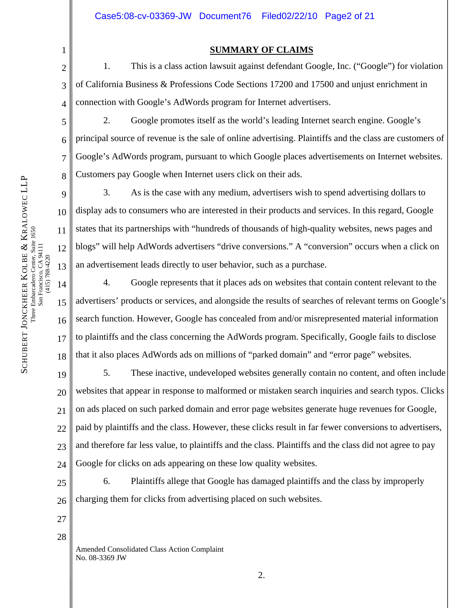**SUMMARY OF CLAIMS**

 1. This is a class action lawsuit against defendant Google, Inc. ("Google") for violation of California Business & Professions Code Sections 17200 and 17500 and unjust enrichment in connection with Google's AdWords program for Internet advertisers.

 2. Google promotes itself as the world's leading Internet search engine. Google's principal source of revenue is the sale of online advertising. Plaintiffs and the class are customers of Google's AdWords program, pursuant to which Google places advertisements on Internet websites. Customers pay Google when Internet users click on their ads.

 3. As is the case with any medium, advertisers wish to spend advertising dollars to display ads to consumers who are interested in their products and services. In this regard, Google states that its partnerships with "hundreds of thousands of high-quality websites, news pages and blogs" will help AdWords advertisers "drive conversions." A "conversion" occurs when a click on an advertisement leads directly to user behavior, such as a purchase.

 4. Google represents that it places ads on websites that contain content relevant to the advertisers' products or services, and alongside the results of searches of relevant terms on Google's search function. However, Google has concealed from and/or misrepresented material information to plaintiffs and the class concerning the AdWords program. Specifically, Google fails to disclose that it also places AdWords ads on millions of "parked domain" and "error page" websites.

19 20 22 23 24 5. These inactive, undeveloped websites generally contain no content, and often include websites that appear in response to malformed or mistaken search inquiries and search typos. Clicks on ads placed on such parked domain and error page websites generate huge revenues for Google, paid by plaintiffs and the class. However, these clicks result in far fewer conversions to advertisers, and therefore far less value, to plaintiffs and the class. Plaintiffs and the class did not agree to pay Google for clicks on ads appearing on these low quality websites.

25 26 6. Plaintiffs allege that Google has damaged plaintiffs and the class by improperly charging them for clicks from advertising placed on such websites.

- 27 28
- Amended Consolidated Class Action Complaint No. 08-3369 JW

1

2

3

4

5

6

7

8

9

10

11

12

13

14

15

16

17

18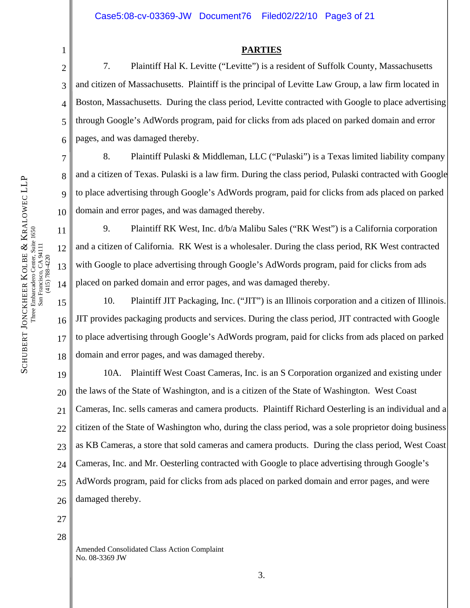## **PARTIES**

 7. Plaintiff Hal K. Levitte ("Levitte") is a resident of Suffolk County, Massachusetts and citizen of Massachusetts. Plaintiff is the principal of Levitte Law Group, a law firm located in Boston, Massachusetts. During the class period, Levitte contracted with Google to place advertising through Google's AdWords program, paid for clicks from ads placed on parked domain and error pages, and was damaged thereby.

 8. Plaintiff Pulaski & Middleman, LLC ("Pulaski") is a Texas limited liability company and a citizen of Texas. Pulaski is a law firm. During the class period, Pulaski contracted with Google to place advertising through Google's AdWords program, paid for clicks from ads placed on parked domain and error pages, and was damaged thereby.

 9. Plaintiff RK West, Inc. d/b/a Malibu Sales ("RK West") is a California corporation and a citizen of California. RK West is a wholesaler. During the class period, RK West contracted with Google to place advertising through Google's AdWords program, paid for clicks from ads placed on parked domain and error pages, and was damaged thereby.

15 16 18 10. Plaintiff JIT Packaging, Inc. ("JIT") is an Illinois corporation and a citizen of Illinois. JIT provides packaging products and services. During the class period, JIT contracted with Google to place advertising through Google's AdWords program, paid for clicks from ads placed on parked domain and error pages, and was damaged thereby.

19 20 21 22 23 24 25 26 10A. Plaintiff West Coast Cameras, Inc. is an S Corporation organized and existing under the laws of the State of Washington, and is a citizen of the State of Washington. West Coast Cameras, Inc. sells cameras and camera products. Plaintiff Richard Oesterling is an individual and a citizen of the State of Washington who, during the class period, was a sole proprietor doing business as KB Cameras, a store that sold cameras and camera products. During the class period, West Coast Cameras, Inc. and Mr. Oesterling contracted with Google to place advertising through Google's AdWords program, paid for clicks from ads placed on parked domain and error pages, and were damaged thereby.

- 27
- 28

Amended Consolidated Class Action Complaint No. 08-3369 JW

1

2

3

4

5

6

7

8

9

10

11

12

13

14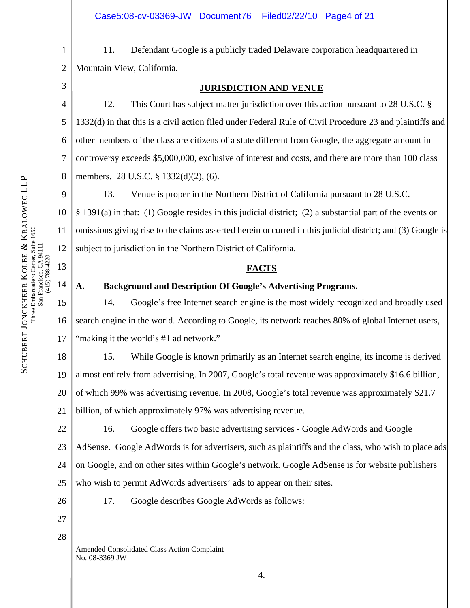1

2

3

4

5

6

7

8

13

(415) 788-4220

14

15

16

17

 11. Defendant Google is a publicly traded Delaware corporation headquartered in Mountain View, California.

#### **JURISDICTION AND VENUE**

 12. This Court has subject matter jurisdiction over this action pursuant to 28 U.S.C. § 1332(d) in that this is a civil action filed under Federal Rule of Civil Procedure 23 and plaintiffs and other members of the class are citizens of a state different from Google, the aggregate amount in controversy exceeds \$5,000,000, exclusive of interest and costs, and there are more than 100 class members. 28 U.S.C. § 1332(d)(2), (6).

9 10 11 12 13. Venue is proper in the Northern District of California pursuant to 28 U.S.C. § 1391(a) in that: (1) Google resides in this judicial district; (2) a substantial part of the events or omissions giving rise to the claims asserted herein occurred in this judicial district; and (3) Google is subject to jurisdiction in the Northern District of California.

# **FACTS**

**A. Background and Description Of Google's Advertising Programs.** 

14. Google's free Internet search engine is the most widely recognized and broadly used search engine in the world. According to Google, its network reaches 80% of global Internet users, "making it the world's #1 ad network."

18 19 20 21 15. While Google is known primarily as an Internet search engine, its income is derived almost entirely from advertising. In 2007, Google's total revenue was approximately \$16.6 billion, of which 99% was advertising revenue. In 2008, Google's total revenue was approximately \$21.7 billion, of which approximately 97% was advertising revenue.

22 23 24 25 16. Google offers two basic advertising services - Google AdWords and Google AdSense. Google AdWords is for advertisers, such as plaintiffs and the class, who wish to place ads on Google, and on other sites within Google's network. Google AdSense is for website publishers who wish to permit AdWords advertisers' ads to appear on their sites.

26

27

- 17. Google describes Google AdWords as follows:
- 28

Amended Consolidated Class Action Complaint No. 08-3369 JW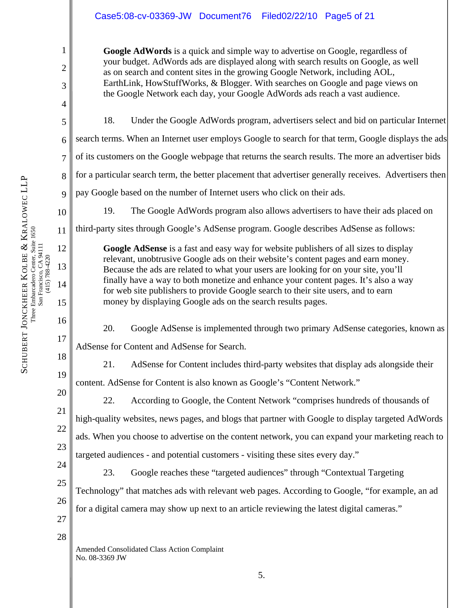# Case5:08-cv-03369-JW Document76 Filed02/22/10 Page5 of 21

**Google AdWords** is a quick and simple way to advertise on Google, regardless of your budget. AdWords ads are displayed along with search results on Google, as well as on search and content sites in the growing Google Network, including AOL, EarthLink, HowStuffWorks, & Blogger. With searches on Google and page views on the Google Network each day, your Google AdWords ads reach a vast audience.

18. Under the Google AdWords program, advertisers select and bid on particular Internet search terms. When an Internet user employs Google to search for that term, Google displays the ads of its customers on the Google webpage that returns the search results. The more an advertiser bids for a particular search term, the better placement that advertiser generally receives. Advertisers then pay Google based on the number of Internet users who click on their ads.

19. The Google AdWords program also allows advertisers to have their ads placed on

third-party sites through Google's AdSense program. Google describes AdSense as follows:

money by displaying Google ads on the search results pages.

**Google AdSense** is a fast and easy way for website publishers of all sizes to display relevant, unobtrusive Google ads on their website's content pages and earn money. Because the ads are related to what your users are looking for on your site, you'll finally have a way to both monetize and enhance your content pages. It's also a way for web site publishers to provide Google search to their site users, and to earn

KRALOWEC LLP

1

2

3

4

5

6

7

8

9

10

11

12

13

14

17

18

19

20

21

22

23

24

25

Three Embarcadero Center, Suite 1650 Three Embarcadero Center, Suite 1650 San Francisco, CA 94111 San Francisco, CA 94111<br>(415) 788-4220 & KOLBE (415) 788-4220 SCHUBERT JONCKHEER

15 16

 20. Google AdSense is implemented through two primary AdSense categories, known as AdSense for Content and AdSense for Search.

 21. AdSense for Content includes third-party websites that display ads alongside their content. AdSense for Content is also known as Google's "Content Network."

 22. According to Google, the Content Network "comprises hundreds of thousands of high-quality websites, news pages, and blogs that partner with Google to display targeted AdWords ads. When you choose to advertise on the content network, you can expand your marketing reach to targeted audiences - and potential customers - visiting these sites every day."

23. Google reaches these "targeted audiences" through "Contextual Targeting

26 Technology" that matches ads with relevant web pages. According to Google, "for example, an ad for a digital camera may show up next to an article reviewing the latest digital cameras."

28

27

Amended Consolidated Class Action Complaint No. 08-3369 JW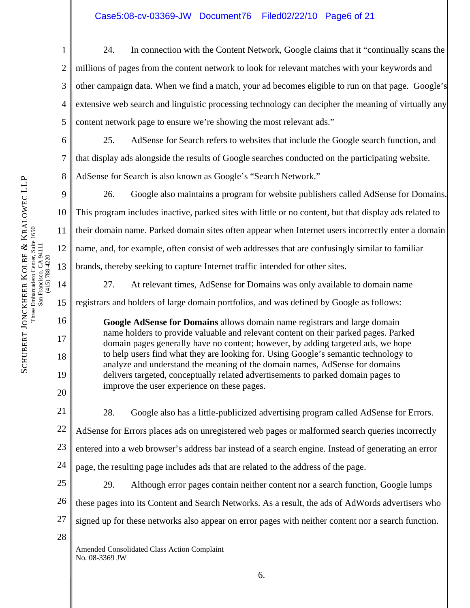1 2 3 4 5 24. In connection with the Content Network, Google claims that it "continually scans the millions of pages from the content network to look for relevant matches with your keywords and other campaign data. When we find a match, your ad becomes eligible to run on that page. Google's extensive web search and linguistic processing technology can decipher the meaning of virtually any content network page to ensure we're showing the most relevant ads."

6 25. AdSense for Search refers to websites that include the Google search function, and that display ads alongside the results of Google searches conducted on the participating website. AdSense for Search is also known as Google's "Search Network."

26. Google also maintains a program for website publishers called AdSense for Domains. This program includes inactive, parked sites with little or no content, but that display ads related to their domain name. Parked domain sites often appear when Internet users incorrectly enter a domain name, and, for example, often consist of web addresses that are confusingly similar to familiar brands, thereby seeking to capture Internet traffic intended for other sites.

 27. At relevant times, AdSense for Domains was only available to domain name registrars and holders of large domain portfolios, and was defined by Google as follows:

**Google AdSense for Domains** allows domain name registrars and large domain name holders to provide valuable and relevant content on their parked pages. Parked domain pages generally have no content; however, by adding targeted ads, we hope to help users find what they are looking for. Using Google's semantic technology to analyze and understand the meaning of the domain names, AdSense for domains delivers targeted, conceptually related advertisements to parked domain pages to improve the user experience on these pages.

21 22 23 24 28. Google also has a little-publicized advertising program called AdSense for Errors. AdSense for Errors places ads on unregistered web pages or malformed search queries incorrectly entered into a web browser's address bar instead of a search engine. Instead of generating an error page, the resulting page includes ads that are related to the address of the page.

25 26 27 28 29. Although error pages contain neither content nor a search function, Google lumps these pages into its Content and Search Networks. As a result, the ads of AdWords advertisers who signed up for these networks also appear on error pages with neither content nor a search function.

Amended Consolidated Class Action Complaint No. 08-3369 JW

7

8

9

10

11

12

13

14

15

16

17

18

19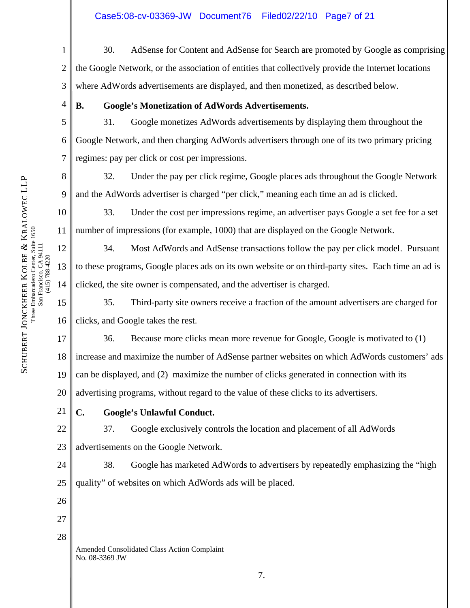- 1 2 3 30. AdSense for Content and AdSense for Search are promoted by Google as comprising the Google Network, or the association of entities that collectively provide the Internet locations where AdWords advertisements are displayed, and then monetized, as described below.
	- **B. Google's Monetization of AdWords Advertisements.**

5 6 7 31. Google monetizes AdWords advertisements by displaying them throughout the Google Network, and then charging AdWords advertisers through one of its two primary pricing regimes: pay per click or cost per impressions.

8 32. Under the pay per click regime, Google places ads throughout the Google Network and the AdWords advertiser is charged "per click," meaning each time an ad is clicked.

10 11 33. Under the cost per impressions regime, an advertiser pays Google a set fee for a set number of impressions (for example, 1000) that are displayed on the Google Network.

 34. Most AdWords and AdSense transactions follow the pay per click model. Pursuant to these programs, Google places ads on its own website or on third-party sites. Each time an ad is clicked, the site owner is compensated, and the advertiser is charged.

15 16 35. Third-party site owners receive a fraction of the amount advertisers are charged for clicks, and Google takes the rest.

36. Because more clicks mean more revenue for Google, Google is motivated to (1)

18 increase and maximize the number of AdSense partner websites on which AdWords customers' ads

19 can be displayed, and (2) maximize the number of clicks generated in connection with its

20 advertising programs, without regard to the value of these clicks to its advertisers.

# **C. Google's Unlawful Conduct.**

22 23 37. Google exclusively controls the location and placement of all AdWords advertisements on the Google Network.

24 25 38. Google has marketed AdWords to advertisers by repeatedly emphasizing the "high quality" of websites on which AdWords ads will be placed.

26

27 28

> Amended Consolidated Class Action Complaint No. 08-3369 JW

4

9

12

13

(415) 788-4220

14

17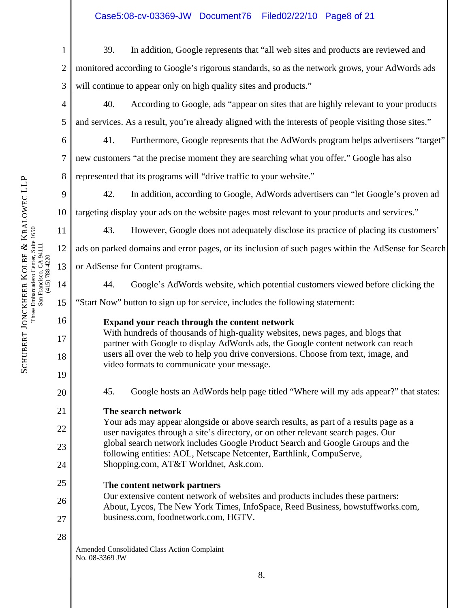# Case5:08-cv-03369-JW Document76 Filed02/22/10 Page8 of 21

- 1 2 3 39. In addition, Google represents that "all web sites and products are reviewed and monitored according to Google's rigorous standards, so as the network grows, your AdWords ads will continue to appear only on high quality sites and products."
	- 40. According to Google, ads "appear on sites that are highly relevant to your products and services. As a result, you're already aligned with the interests of people visiting those sites."
	- 41. Furthermore, Google represents that the AdWords program helps advertisers "target" new customers "at the precise moment they are searching what you offer." Google has also represented that its programs will "drive traffic to your website."
- 9 10 42. In addition, according to Google, AdWords advertisers can "let Google's proven ad targeting display your ads on the website pages most relevant to your products and services."
	- 43. However, Google does not adequately disclose its practice of placing its customers'
	- ads on parked domains and error pages, or its inclusion of such pages within the AdSense for Search or AdSense for Content programs.
		- 44. Google's AdWords website, which potential customers viewed before clicking the
	- "Start Now" button to sign up for service, includes the following statement:

# **Expand your reach through the content network**

With hundreds of thousands of high-quality websites, news pages, and blogs that partner with Google to display AdWords ads, the Google content network can reach users all over the web to help you drive conversions. Choose from text, image, and video formats to communicate your message.

45. Google hosts an AdWords help page titled "Where will my ads appear?" that states:

# **The search network**

- Your ads may appear alongside or above search results, as part of a results page as a user navigates through a site's directory, or on other relevant search pages. Our global search network includes Google Product Search and Google Groups and the following entities: AOL, Netscape Netcenter, Earthlink, CompuServe, Shopping.com, AT&T Worldnet, Ask.com.
- T**he content network partners**
- 26 27 Our extensive content network of websites and products includes these partners: About, Lycos, The New York Times, InfoSpace, Reed Business, howstuffworks.com, business.com, foodnetwork.com, HGTV.

28

Amended Consolidated Class Action Complaint No. 08-3369 JW

4

5

6

7

8

11

12

13

14

15

16

17

18

19

20

21

22

23

24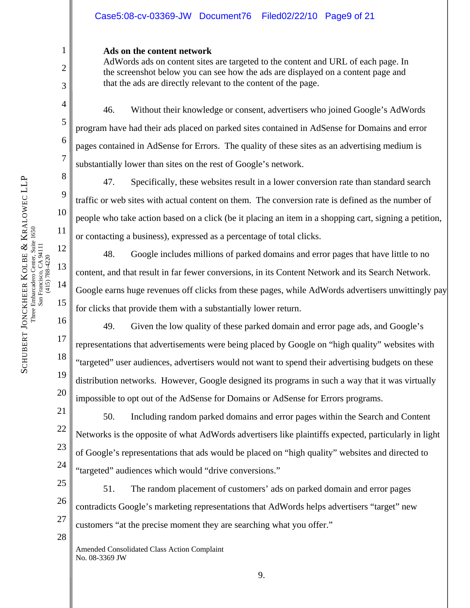#### **Ads on the content network**

AdWords ads on content sites are targeted to the content and URL of each page. In the screenshot below you can see how the ads are displayed on a content page and that the ads are directly relevant to the content of the page.

 46. Without their knowledge or consent, advertisers who joined Google's AdWords program have had their ads placed on parked sites contained in AdSense for Domains and error pages contained in AdSense for Errors. The quality of these sites as an advertising medium is substantially lower than sites on the rest of Google's network.

 47. Specifically, these websites result in a lower conversion rate than standard search traffic or web sites with actual content on them. The conversion rate is defined as the number of people who take action based on a click (be it placing an item in a shopping cart, signing a petition, or contacting a business), expressed as a percentage of total clicks.

 48. Google includes millions of parked domains and error pages that have little to no content, and that result in far fewer conversions, in its Content Network and its Search Network. Google earns huge revenues off clicks from these pages, while AdWords advertisers unwittingly pay for clicks that provide them with a substantially lower return.

 49. Given the low quality of these parked domain and error page ads, and Google's representations that advertisements were being placed by Google on "high quality" websites with "targeted" user audiences, advertisers would not want to spend their advertising budgets on these distribution networks. However, Google designed its programs in such a way that it was virtually impossible to opt out of the AdSense for Domains or AdSense for Errors programs.

22 24 50. Including random parked domains and error pages within the Search and Content Networks is the opposite of what AdWords advertisers like plaintiffs expected, particularly in light of Google's representations that ads would be placed on "high quality" websites and directed to "targeted" audiences which would "drive conversions."

25 26 27 51. The random placement of customers' ads on parked domain and error pages contradicts Google's marketing representations that AdWords helps advertisers "target" new customers "at the precise moment they are searching what you offer."

Amended Consolidated Class Action Complaint No. 08-3369 JW

1

2

3

4

5

6

7

8

9

10

11

12

13

14

15

16

17

18

19

20

21

23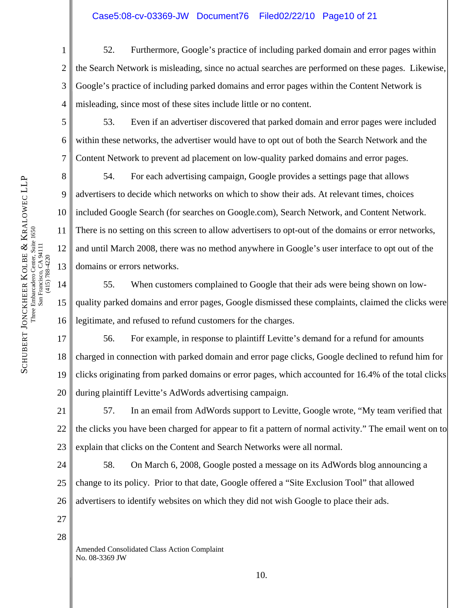1 2 3 4 52. Furthermore, Google's practice of including parked domain and error pages within the Search Network is misleading, since no actual searches are performed on these pages. Likewise, Google's practice of including parked domains and error pages within the Content Network is misleading, since most of these sites include little or no content.

 53. Even if an advertiser discovered that parked domain and error pages were included within these networks, the advertiser would have to opt out of both the Search Network and the Content Network to prevent ad placement on low-quality parked domains and error pages.

54. For each advertising campaign, Google provides a settings page that allows advertisers to decide which networks on which to show their ads. At relevant times, choices included Google Search (for searches on Google.com), Search Network, and Content Network. There is no setting on this screen to allow advertisers to opt-out of the domains or error networks, and until March 2008, there was no method anywhere in Google's user interface to opt out of the domains or errors networks.

55. When customers complained to Google that their ads were being shown on lowquality parked domains and error pages, Google dismissed these complaints, claimed the clicks were legitimate, and refused to refund customers for the charges.

17 18 19 20 56. For example, in response to plaintiff Levitte's demand for a refund for amounts charged in connection with parked domain and error page clicks, Google declined to refund him for clicks originating from parked domains or error pages, which accounted for 16.4% of the total clicks during plaintiff Levitte's AdWords advertising campaign.

21 22 23 57. In an email from AdWords support to Levitte, Google wrote, "My team verified that the clicks you have been charged for appear to fit a pattern of normal activity." The email went on to explain that clicks on the Content and Search Networks were all normal.

24 25 26 58. On March 6, 2008, Google posted a message on its AdWords blog announcing a change to its policy. Prior to that date, Google offered a "Site Exclusion Tool" that allowed advertisers to identify websites on which they did not wish Google to place their ads.

27

28

Amended Consolidated Class Action Complaint No. 08-3369 JW

5

6

7

8

9

10

11

12

13

14

15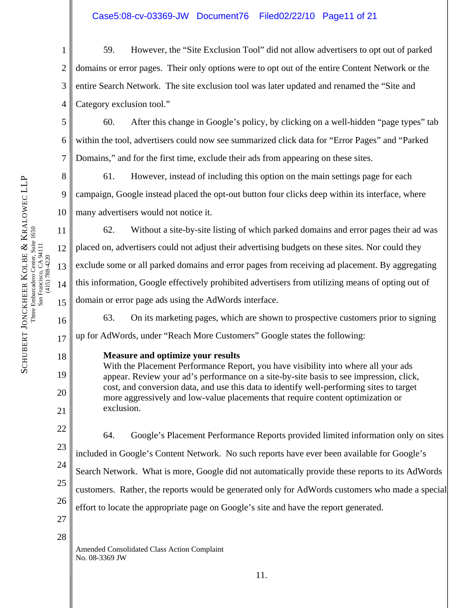# Case5:08-cv-03369-JW Document76 Filed02/22/10 Page11 of 21

1 2 3 4 59. However, the "Site Exclusion Tool" did not allow advertisers to opt out of parked domains or error pages. Their only options were to opt out of the entire Content Network or the entire Search Network. The site exclusion tool was later updated and renamed the "Site and Category exclusion tool."

 60. After this change in Google's policy, by clicking on a well-hidden "page types" tab within the tool, advertisers could now see summarized click data for "Error Pages" and "Parked Domains," and for the first time, exclude their ads from appearing on these sites.

8 9 10 61. However, instead of including this option on the main settings page for each campaign, Google instead placed the opt-out button four clicks deep within its interface, where many advertisers would not notice it.

62. Without a site-by-site listing of which parked domains and error pages their ad was placed on, advertisers could not adjust their advertising budgets on these sites. Nor could they exclude some or all parked domains and error pages from receiving ad placement. By aggregating this information, Google effectively prohibited advertisers from utilizing means of opting out of domain or error page ads using the AdWords interface.

16 63. On its marketing pages, which are shown to prospective customers prior to signing up for AdWords, under "Reach More Customers" Google states the following:

**Measure and optimize your results**

With the Placement Performance Report, you have visibility into where all your ads appear. Review your ad's performance on a site-by-site basis to see impression, click, cost, and conversion data, and use this data to identify well-performing sites to target more aggressively and low-value placements that require content optimization or exclusion.

22 23 24 25 26 27 64. Google's Placement Performance Reports provided limited information only on sites included in Google's Content Network. No such reports have ever been available for Google's Search Network. What is more, Google did not automatically provide these reports to its AdWords customers. Rather, the reports would be generated only for AdWords customers who made a special effort to locate the appropriate page on Google's site and have the report generated.

28

Amended Consolidated Class Action Complaint No. 08-3369 JW

KRALOWEC LLP Three Embarcadero Center, Suite 1650 Three Embarcadero Center, Suite 1650 San Francisco, CA 94111 San Francisco, CA 94111<br>(415) 788-4220 & KOLBE (415) 788-4220 SCHUBERT JONCKHEER

5

6

7

11

12

13

14

15

17

18

19

20

21

11.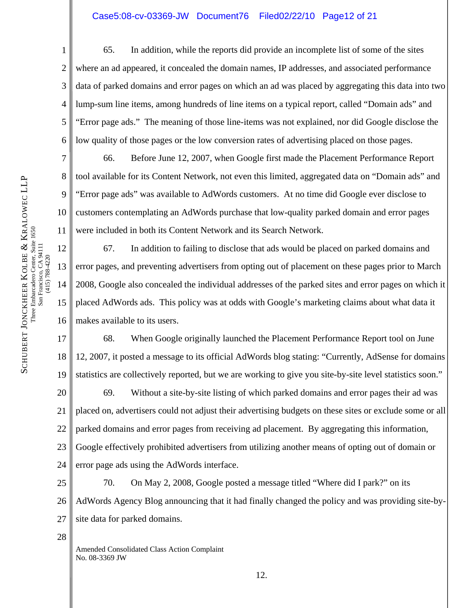# Case5:08-cv-03369-JW Document76 Filed02/22/10 Page12 of 21

 65. In addition, while the reports did provide an incomplete list of some of the sites where an ad appeared, it concealed the domain names, IP addresses, and associated performance data of parked domains and error pages on which an ad was placed by aggregating this data into two lump-sum line items, among hundreds of line items on a typical report, called "Domain ads" and "Error page ads." The meaning of those line-items was not explained, nor did Google disclose the low quality of those pages or the low conversion rates of advertising placed on those pages.

 66. Before June 12, 2007, when Google first made the Placement Performance Report tool available for its Content Network, not even this limited, aggregated data on "Domain ads" and "Error page ads" was available to AdWords customers. At no time did Google ever disclose to customers contemplating an AdWords purchase that low-quality parked domain and error pages were included in both its Content Network and its Search Network.

 67. In addition to failing to disclose that ads would be placed on parked domains and error pages, and preventing advertisers from opting out of placement on these pages prior to March 2008, Google also concealed the individual addresses of the parked sites and error pages on which it placed AdWords ads. This policy was at odds with Google's marketing claims about what data it makes available to its users.

17 18 19 68. When Google originally launched the Placement Performance Report tool on June 12, 2007, it posted a message to its official AdWords blog stating: "Currently, AdSense for domains statistics are collectively reported, but we are working to give you site-by-site level statistics soon."

20 21 22 23 24 69. Without a site-by-site listing of which parked domains and error pages their ad was placed on, advertisers could not adjust their advertising budgets on these sites or exclude some or all parked domains and error pages from receiving ad placement. By aggregating this information, Google effectively prohibited advertisers from utilizing another means of opting out of domain or error page ads using the AdWords interface.

25 26 27 70. On May 2, 2008, Google posted a message titled "Where did I park?" on its AdWords Agency Blog announcing that it had finally changed the policy and was providing site-bysite data for parked domains.

28

Amended Consolidated Class Action Complaint No. 08-3369 JW

1

2

3

4

5

6

7

8

9

10

11

12

13

14

15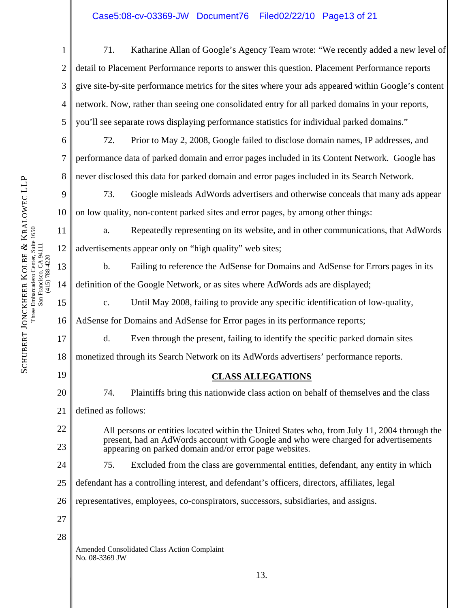# Case5:08-cv-03369-JW Document76 Filed02/22/10 Page13 of 21

| $\mathbf{1}$   | 71.<br>Katharine Allan of Google's Agency Team wrote: "We recently added a new level of                                                       |  |  |  |  |  |  |
|----------------|-----------------------------------------------------------------------------------------------------------------------------------------------|--|--|--|--|--|--|
| $\overline{2}$ | detail to Placement Performance reports to answer this question. Placement Performance reports                                                |  |  |  |  |  |  |
| 3              | give site-by-site performance metrics for the sites where your ads appeared within Google's content                                           |  |  |  |  |  |  |
| $\overline{4}$ | network. Now, rather than seeing one consolidated entry for all parked domains in your reports,                                               |  |  |  |  |  |  |
| 5              | you'll see separate rows displaying performance statistics for individual parked domains."                                                    |  |  |  |  |  |  |
| 6              | Prior to May 2, 2008, Google failed to disclose domain names, IP addresses, and<br>72.                                                        |  |  |  |  |  |  |
| 7              | performance data of parked domain and error pages included in its Content Network. Google has                                                 |  |  |  |  |  |  |
| 8              | never disclosed this data for parked domain and error pages included in its Search Network.                                                   |  |  |  |  |  |  |
| 9              | 73.<br>Google misleads AdWords advertisers and otherwise conceals that many ads appear                                                        |  |  |  |  |  |  |
| 10             | on low quality, non-content parked sites and error pages, by among other things:                                                              |  |  |  |  |  |  |
| 11             | Repeatedly representing on its website, and in other communications, that AdWords<br>a.                                                       |  |  |  |  |  |  |
| 12             | advertisements appear only on "high quality" web sites;                                                                                       |  |  |  |  |  |  |
| 13             | $\mathbf b$ .<br>Failing to reference the AdSense for Domains and AdSense for Errors pages in its                                             |  |  |  |  |  |  |
| 14             | definition of the Google Network, or as sites where AdWords ads are displayed;                                                                |  |  |  |  |  |  |
| 15             | Until May 2008, failing to provide any specific identification of low-quality,<br>$\mathbf{c}$ .                                              |  |  |  |  |  |  |
| 16             | AdSense for Domains and AdSense for Error pages in its performance reports;                                                                   |  |  |  |  |  |  |
| 17             | d.<br>Even through the present, failing to identify the specific parked domain sites                                                          |  |  |  |  |  |  |
| 18             | monetized through its Search Network on its AdWords advertisers' performance reports.                                                         |  |  |  |  |  |  |
| 19             | <b>CLASS ALLEGATIONS</b>                                                                                                                      |  |  |  |  |  |  |
| 20             | Plaintiffs bring this nationwide class action on behalf of themselves and the class<br>74.                                                    |  |  |  |  |  |  |
| 21             | defined as follows:                                                                                                                           |  |  |  |  |  |  |
| 22             | All persons or entities located within the United States who, from July 11, 2004 through the                                                  |  |  |  |  |  |  |
| 23             | present, had an AdWords account with Google and who were charged for advertisements<br>appearing on parked domain and/or error page websites. |  |  |  |  |  |  |
| 24             | 75.<br>Excluded from the class are governmental entities, defendant, any entity in which                                                      |  |  |  |  |  |  |
| 25             | defendant has a controlling interest, and defendant's officers, directors, affiliates, legal                                                  |  |  |  |  |  |  |
| 26             | representatives, employees, co-conspirators, successors, subsidiaries, and assigns.                                                           |  |  |  |  |  |  |
| 27             |                                                                                                                                               |  |  |  |  |  |  |
| 28             |                                                                                                                                               |  |  |  |  |  |  |
|                | Amended Consolidated Class Action Complaint<br>No. 08-3369 JW                                                                                 |  |  |  |  |  |  |
|                | 13.                                                                                                                                           |  |  |  |  |  |  |

(415) 788-4220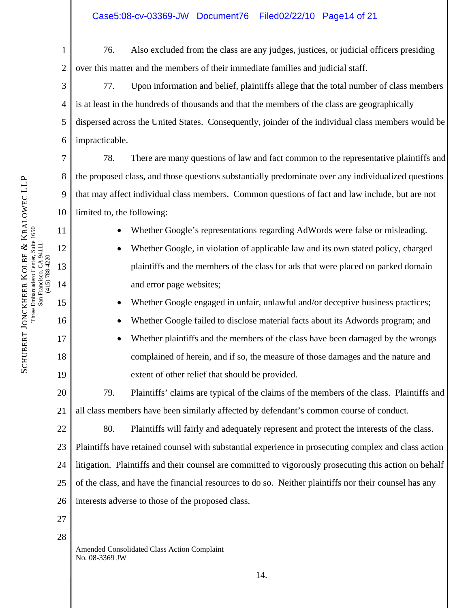76. Also excluded from the class are any judges, justices, or judicial officers presiding over this matter and the members of their immediate families and judicial staff.

 77. Upon information and belief, plaintiffs allege that the total number of class members is at least in the hundreds of thousands and that the members of the class are geographically dispersed across the United States. Consequently, joinder of the individual class members would be impracticable.

 78. There are many questions of law and fact common to the representative plaintiffs and the proposed class, and those questions substantially predominate over any individualized questions that may affect individual class members. Common questions of fact and law include, but are not limited to, the following:

• Whether Google's representations regarding AdWords were false or misleading.

• Whether Google, in violation of applicable law and its own stated policy, charged plaintiffs and the members of the class for ads that were placed on parked domain and error page websites;

Whether Google engaged in unfair, unlawful and/or deceptive business practices;

- Whether Google failed to disclose material facts about its Adwords program; and
- Whether plaintiffs and the members of the class have been damaged by the wrongs complained of herein, and if so, the measure of those damages and the nature and extent of other relief that should be provided.

20 79. Plaintiffs' claims are typical of the claims of the members of the class. Plaintiffs and all class members have been similarly affected by defendant's common course of conduct.

22 23 24 25 26 80. Plaintiffs will fairly and adequately represent and protect the interests of the class. Plaintiffs have retained counsel with substantial experience in prosecuting complex and class action litigation. Plaintiffs and their counsel are committed to vigorously prosecuting this action on behalf of the class, and have the financial resources to do so. Neither plaintiffs nor their counsel has any interests adverse to those of the proposed class.

- 27
- 28

Amended Consolidated Class Action Complaint No. 08-3369 JW

1

2

3

4

5

6

7

8

9

10

11

12

13

14

15

16

17

18

19

21

14.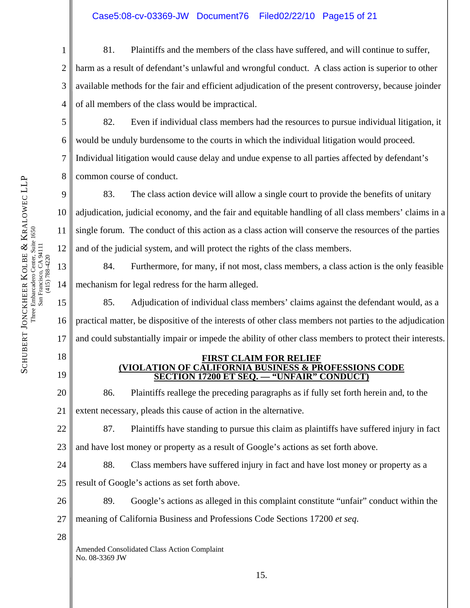1 2 3 4 81. Plaintiffs and the members of the class have suffered, and will continue to suffer, harm as a result of defendant's unlawful and wrongful conduct. A class action is superior to other available methods for the fair and efficient adjudication of the present controversy, because joinder of all members of the class would be impractical.

5 6 8 82. Even if individual class members had the resources to pursue individual litigation, it would be unduly burdensome to the courts in which the individual litigation would proceed. Individual litigation would cause delay and undue expense to all parties affected by defendant's common course of conduct.

 83. The class action device will allow a single court to provide the benefits of unitary adjudication, judicial economy, and the fair and equitable handling of all class members' claims in a single forum. The conduct of this action as a class action will conserve the resources of the parties and of the judicial system, and will protect the rights of the class members.

 84. Furthermore, for many, if not most, class members, a class action is the only feasible mechanism for legal redress for the harm alleged.

 85. Adjudication of individual class members' claims against the defendant would, as a practical matter, be dispositive of the interests of other class members not parties to the adjudication and could substantially impair or impede the ability of other class members to protect their interests.

- 18
- 19

7

9

10

11

12

13

14

15

16

SCHUBERT JONCKHEER

KOLBE

Three Embarcadero Center, Suite 1650 San Francisco, CA 94111 (415) 788-4220

Three Embarcadero Center, Suite 1650 San Francisco, CA 94111<br>(415) 788-4220

&

KRALOWEC LLP

17

#### **FIRST CLAIM FOR RELIEF (VIOLATION OF CALIFORNIA BUSINESS & PROFESSIONS CODE SECTION 17200 ET SEQ. — "UNFAIR" CONDUCT)**

20 21 86. Plaintiffs reallege the preceding paragraphs as if fully set forth herein and, to the extent necessary, pleads this cause of action in the alternative.

22 23 87. Plaintiffs have standing to pursue this claim as plaintiffs have suffered injury in fact and have lost money or property as a result of Google's actions as set forth above.

24 25 88. Class members have suffered injury in fact and have lost money or property as a result of Google's actions as set forth above.

26 89. Google's actions as alleged in this complaint constitute "unfair" conduct within the

27 meaning of California Business and Professions Code Sections 17200 *et seq*.

28

Amended Consolidated Class Action Complaint No. 08-3369 JW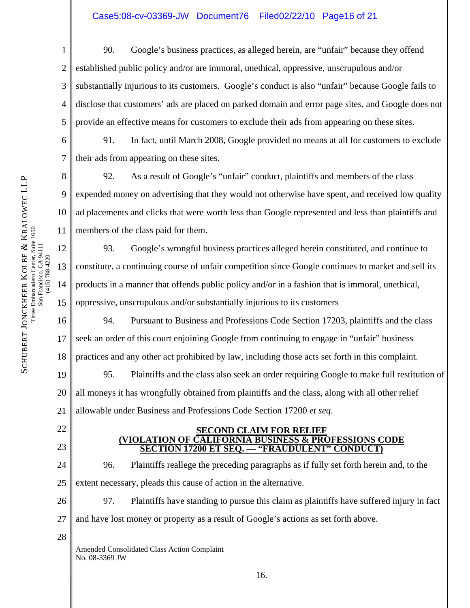# Case5:08-cv-03369-JW Document76 Filed02/22/10 Page16 of 21

1 2 3 4 5 90. Google's business practices, as alleged herein, are "unfair" because they offend established public policy and/or are immoral, unethical, oppressive, unscrupulous and/or substantially injurious to its customers. Google's conduct is also "unfair" because Google fails to disclose that customers' ads are placed on parked domain and error page sites, and Google does not provide an effective means for customers to exclude their ads from appearing on these sites.

6 91. In fact, until March 2008, Google provided no means at all for customers to exclude their ads from appearing on these sites.

8 92. As a result of Google's "unfair" conduct, plaintiffs and members of the class expended money on advertising that they would not otherwise have spent, and received low quality ad placements and clicks that were worth less than Google represented and less than plaintiffs and members of the class paid for them.

93. Google's wrongful business practices alleged herein constituted, and continue to constitute, a continuing course of unfair competition since Google continues to market and sell its products in a manner that offends public policy and/or in a fashion that is immoral, unethical, oppressive, unscrupulous and/or substantially injurious to its customers

16 17 18 94. Pursuant to Business and Professions Code Section 17203, plaintiffs and the class seek an order of this court enjoining Google from continuing to engage in "unfair" business practices and any other act prohibited by law, including those acts set forth in this complaint.

19 20 21 95. Plaintiffs and the class also seek an order requiring Google to make full restitution of all moneys it has wrongfully obtained from plaintiffs and the class, along with all other relief allowable under Business and Professions Code Section 17200 *et seq*.

#### **<u>SECOND CLAIM FOR RELIEF</u><br>CALIFORNIA BUSINESS & PROFESSIONS CODE (VIOLATION OF CALIFORNIA BUSINESS) SECTION 17200 ET SEQ. — "FRAUDULENT" CONDUCT)**

24 25 96. Plaintiffs reallege the preceding paragraphs as if fully set forth herein and, to the extent necessary, pleads this cause of action in the alternative.

26 27 97. Plaintiffs have standing to pursue this claim as plaintiffs have suffered injury in fact and have lost money or property as a result of Google's actions as set forth above.

28

22

23

Amended Consolidated Class Action Complaint No. 08-3369 JW

KRALOWEC LLP Three Embarcadero Center, Suite 1650 Three Embarcadero Center, Suite 1650 San Francisco, CA 94111 San Francisco, CA 94111<br>(415) 788-4220 & KOLBE (415) 788-4220 SCHUBERT JONCKHEER

7

9

10

11

12

13

14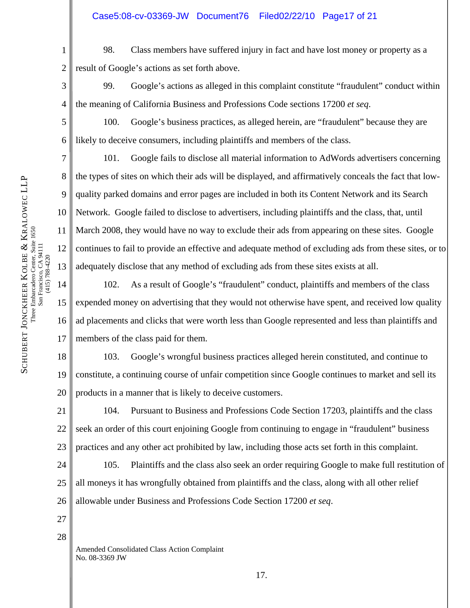1 2 98. Class members have suffered injury in fact and have lost money or property as a result of Google's actions as set forth above.

3 4 99. Google's actions as alleged in this complaint constitute "fraudulent" conduct within the meaning of California Business and Professions Code sections 17200 *et seq*.

 100. Google's business practices, as alleged herein, are "fraudulent" because they are likely to deceive consumers, including plaintiffs and members of the class.

 101. Google fails to disclose all material information to AdWords advertisers concerning the types of sites on which their ads will be displayed, and affirmatively conceals the fact that lowquality parked domains and error pages are included in both its Content Network and its Search Network. Google failed to disclose to advertisers, including plaintiffs and the class, that, until March 2008, they would have no way to exclude their ads from appearing on these sites. Google continues to fail to provide an effective and adequate method of excluding ads from these sites, or to adequately disclose that any method of excluding ads from these sites exists at all.

102. As a result of Google's "fraudulent" conduct, plaintiffs and members of the class expended money on advertising that they would not otherwise have spent, and received low quality ad placements and clicks that were worth less than Google represented and less than plaintiffs and members of the class paid for them.

18 19 20 103. Google's wrongful business practices alleged herein constituted, and continue to constitute, a continuing course of unfair competition since Google continues to market and sell its products in a manner that is likely to deceive customers.

21 22 23 104. Pursuant to Business and Professions Code Section 17203, plaintiffs and the class seek an order of this court enjoining Google from continuing to engage in "fraudulent" business practices and any other act prohibited by law, including those acts set forth in this complaint.

24 25 26 105. Plaintiffs and the class also seek an order requiring Google to make full restitution of all moneys it has wrongfully obtained from plaintiffs and the class, along with all other relief allowable under Business and Professions Code Section 17200 *et seq*.

27

28

Amended Consolidated Class Action Complaint No. 08-3369 JW

5

6

7

8

9

10

11

12

13

14

15

16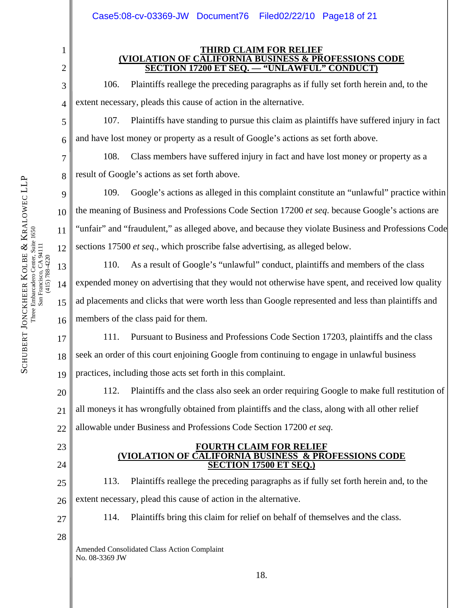**THIRD CLAIM FOR RELIEF (VIOLATION OF CALIFORNIA BUSINESS & PROFESSIONS CODE SECTION 17200 ET SEQ. — "UNLAWFUL" CONDUCT)**

 106. Plaintiffs reallege the preceding paragraphs as if fully set forth herein and, to the extent necessary, pleads this cause of action in the alternative.

 107. Plaintiffs have standing to pursue this claim as plaintiffs have suffered injury in fact and have lost money or property as a result of Google's actions as set forth above.

 108. Class members have suffered injury in fact and have lost money or property as a result of Google's actions as set forth above.

 109. Google's actions as alleged in this complaint constitute an "unlawful" practice within the meaning of Business and Professions Code Section 17200 *et seq*. because Google's actions are "unfair" and "fraudulent," as alleged above, and because they violate Business and Professions Code sections 17500 *et seq*., which proscribe false advertising, as alleged below.

110. As a result of Google's "unlawful" conduct, plaintiffs and members of the class expended money on advertising that they would not otherwise have spent, and received low quality ad placements and clicks that were worth less than Google represented and less than plaintiffs and members of the class paid for them.

17 18 19 111. Pursuant to Business and Professions Code Section 17203, plaintiffs and the class seek an order of this court enjoining Google from continuing to engage in unlawful business practices, including those acts set forth in this complaint.

20 21 22 112. Plaintiffs and the class also seek an order requiring Google to make full restitution of all moneys it has wrongfully obtained from plaintiffs and the class, along with all other relief allowable under Business and Professions Code Section 17200 *et seq*.

#### **FOURTH CLAIM FOR RELIEF (VIOLATION OF CALIFORNIA BUSINESS & PROFESSIONS CODE SECTION 17500 ET SEQ.)**

25 26 113. Plaintiffs reallege the preceding paragraphs as if fully set forth herein and, to the extent necessary, plead this cause of action in the alternative.

27

23

24

114. Plaintiffs bring this claim for relief on behalf of themselves and the class.

28

Amended Consolidated Class Action Complaint No. 08-3369 JW

1

2

3

4

5

6

7

8

9

10

11

12

13

14

15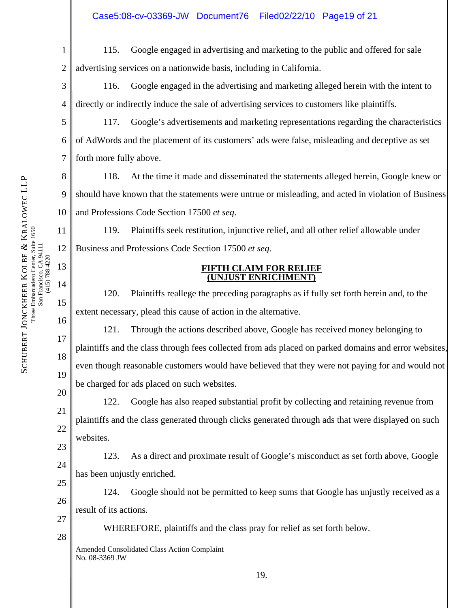1 2 115. Google engaged in advertising and marketing to the public and offered for sale advertising services on a nationwide basis, including in California.

3 4 116. Google engaged in the advertising and marketing alleged herein with the intent to directly or indirectly induce the sale of advertising services to customers like plaintiffs.

 117. Google's advertisements and marketing representations regarding the characteristics of AdWords and the placement of its customers' ads were false, misleading and deceptive as set forth more fully above.

8 9 10 118. At the time it made and disseminated the statements alleged herein, Google knew or should have known that the statements were untrue or misleading, and acted in violation of Business and Professions Code Section 17500 *et seq*.

 119. Plaintiffs seek restitution, injunctive relief, and all other relief allowable under Business and Professions Code Section 17500 *et seq*.

## **FIFTH CLAIM FOR RELIEF (UNJUST ENRICHMENT)**

 120. Plaintiffs reallege the preceding paragraphs as if fully set forth herein and, to the extent necessary, plead this cause of action in the alternative.

 121. Through the actions described above, Google has received money belonging to plaintiffs and the class through fees collected from ads placed on parked domains and error websites, even though reasonable customers would have believed that they were not paying for and would not be charged for ads placed on such websites.

 122. Google has also reaped substantial profit by collecting and retaining revenue from plaintiffs and the class generated through clicks generated through ads that were displayed on such websites.

23 24 25 123. As a direct and proximate result of Google's misconduct as set forth above, Google has been unjustly enriched.

 124. Google should not be permitted to keep sums that Google has unjustly received as a result of its actions.

WHEREFORE, plaintiffs and the class pray for relief as set forth below.

Amended Consolidated Class Action Complaint No. 08-3369 JW

5

6

7

11

12

13

14

15

16

17

18

19

20

21

22

26

27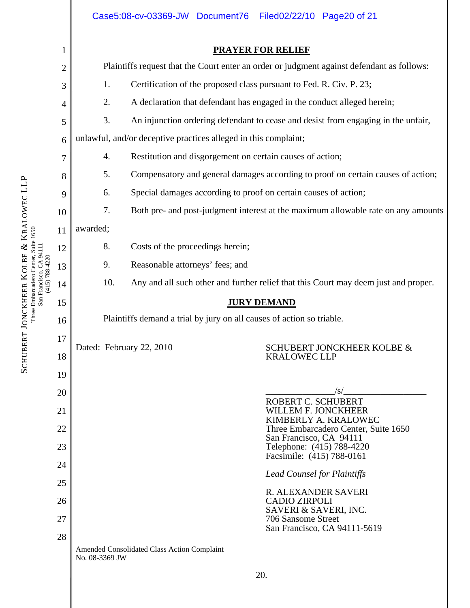|                                       |                                                                                                                |                                                                                     |                                             | Filed02/22/10 Page20 of 21                                                                                                                         |  |  |  |  |
|---------------------------------------|----------------------------------------------------------------------------------------------------------------|-------------------------------------------------------------------------------------|---------------------------------------------|----------------------------------------------------------------------------------------------------------------------------------------------------|--|--|--|--|
| $\mathbf{1}$                          | <b>PRAYER FOR RELIEF</b>                                                                                       |                                                                                     |                                             |                                                                                                                                                    |  |  |  |  |
| $\overline{c}$                        | Plaintiffs request that the Court enter an order or judgment against defendant as follows:                     |                                                                                     |                                             |                                                                                                                                                    |  |  |  |  |
| 3                                     | Certification of the proposed class pursuant to Fed. R. Civ. P. 23;<br>1.                                      |                                                                                     |                                             |                                                                                                                                                    |  |  |  |  |
| 4                                     | 2.<br>A declaration that defendant has engaged in the conduct alleged herein;                                  |                                                                                     |                                             |                                                                                                                                                    |  |  |  |  |
| 5                                     | 3.<br>An injunction ordering defendant to cease and desist from engaging in the unfair,                        |                                                                                     |                                             |                                                                                                                                                    |  |  |  |  |
| 6                                     | unlawful, and/or deceptive practices alleged in this complaint;                                                |                                                                                     |                                             |                                                                                                                                                    |  |  |  |  |
| 7                                     | Restitution and disgorgement on certain causes of action;<br>4.                                                |                                                                                     |                                             |                                                                                                                                                    |  |  |  |  |
| 8                                     | 5.                                                                                                             | Compensatory and general damages according to proof on certain causes of action;    |                                             |                                                                                                                                                    |  |  |  |  |
| 9                                     | Special damages according to proof on certain causes of action;<br>6.                                          |                                                                                     |                                             |                                                                                                                                                    |  |  |  |  |
|                                       | 7.<br>Both pre- and post-judgment interest at the maximum allowable rate on any amounts                        |                                                                                     |                                             |                                                                                                                                                    |  |  |  |  |
|                                       | awarded;                                                                                                       |                                                                                     |                                             |                                                                                                                                                    |  |  |  |  |
|                                       |                                                                                                                |                                                                                     |                                             |                                                                                                                                                    |  |  |  |  |
| Reasonable attorneys' fees; and<br>9. |                                                                                                                |                                                                                     |                                             |                                                                                                                                                    |  |  |  |  |
|                                       | 10.                                                                                                            | Any and all such other and further relief that this Court may deem just and proper. |                                             |                                                                                                                                                    |  |  |  |  |
|                                       | <b>JURY DEMAND</b>                                                                                             |                                                                                     |                                             |                                                                                                                                                    |  |  |  |  |
|                                       | Plaintiffs demand a trial by jury on all causes of action so triable.                                          |                                                                                     |                                             |                                                                                                                                                    |  |  |  |  |
|                                       |                                                                                                                |                                                                                     |                                             | SCHUBERT JONCKHEER KOLBE &                                                                                                                         |  |  |  |  |
|                                       |                                                                                                                |                                                                                     |                                             | <b>KRALOWEC LLP</b>                                                                                                                                |  |  |  |  |
|                                       |                                                                                                                |                                                                                     |                                             |                                                                                                                                                    |  |  |  |  |
|                                       |                                                                                                                |                                                                                     |                                             | $\sqrt{s}$<br>ROBERT C. SCHUBERT<br>WILLEM F. JONCKHEER<br>KIMBERLY A. KRALOWEC<br>Three Embarcadero Center, Suite 1650<br>San Francisco, CA 94111 |  |  |  |  |
|                                       |                                                                                                                |                                                                                     |                                             |                                                                                                                                                    |  |  |  |  |
|                                       |                                                                                                                |                                                                                     |                                             |                                                                                                                                                    |  |  |  |  |
|                                       | Telephone: (415) 788-4220<br>Facsimile: (415) 788-0161<br><b>Lead Counsel for Plaintiffs</b>                   |                                                                                     |                                             |                                                                                                                                                    |  |  |  |  |
|                                       |                                                                                                                |                                                                                     |                                             |                                                                                                                                                    |  |  |  |  |
|                                       |                                                                                                                |                                                                                     |                                             | R. ALEXANDER SAVERI<br><b>CADIO ZIRPOLI</b>                                                                                                        |  |  |  |  |
|                                       |                                                                                                                |                                                                                     | SAVERI & SAVERI, INC.<br>706 Sansome Street |                                                                                                                                                    |  |  |  |  |
|                                       |                                                                                                                |                                                                                     |                                             | San Francisco, CA 94111-5619                                                                                                                       |  |  |  |  |
|                                       | Amended Consolidated Class Action Complaint<br>No. 08-3369 JW                                                  |                                                                                     |                                             |                                                                                                                                                    |  |  |  |  |
|                                       |                                                                                                                |                                                                                     |                                             | 20.                                                                                                                                                |  |  |  |  |
|                                       |                                                                                                                |                                                                                     |                                             |                                                                                                                                                    |  |  |  |  |
|                                       | 10<br>11<br>12<br>13<br>14<br>15<br>16<br>17<br>18<br>19<br>20<br>21<br>22<br>23<br>24<br>25<br>26<br>27<br>28 | 8.                                                                                  | Dated: February 22, 2010                    | Case5:08-cv-03369-JW Document76<br>Costs of the proceedings herein;                                                                                |  |  |  |  |

SCHUBERT JONCKHEER

KOLBE

Three Embarcadero Center, Suite 1650

&

KRALOWEC LLP